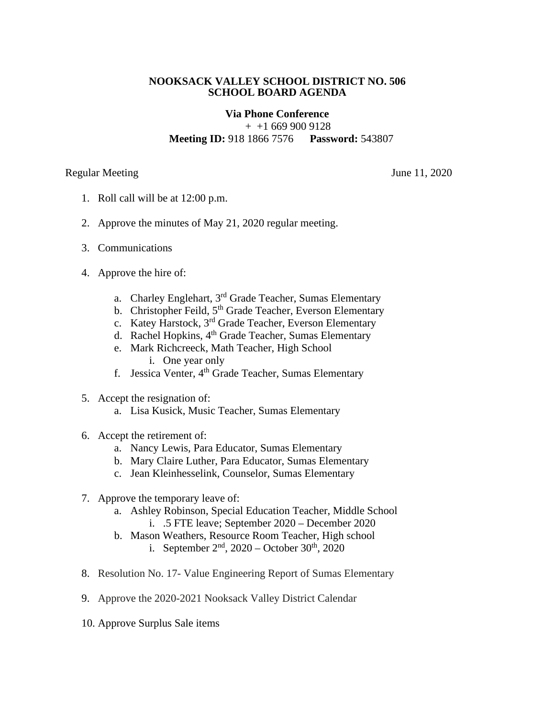## **NOOKSACK VALLEY SCHOOL DISTRICT NO. 506 SCHOOL BOARD AGENDA**

## **Via Phone Conference**

 $+$  +1 669 900 9128 **Meeting ID:** 918 1866 7576 **Password:** 543807

Regular Meeting June 11, 2020

- 1. Roll call will be at 12:00 p.m.
- 2. Approve the minutes of May 21, 2020 regular meeting.
- 3. Communications
- 4. Approve the hire of:
	- a. Charley Englehart, 3rd Grade Teacher, Sumas Elementary
	- b. Christopher Feild, 5<sup>th</sup> Grade Teacher, Everson Elementary
	- c. Katey Harstock, 3rd Grade Teacher, Everson Elementary
	- d. Rachel Hopkins, 4<sup>th</sup> Grade Teacher, Sumas Elementary
	- e. Mark Richcreeck, Math Teacher, High School i. One year only
	- f. Jessica Venter, 4th Grade Teacher, Sumas Elementary
- 5. Accept the resignation of:
	- a. Lisa Kusick, Music Teacher, Sumas Elementary
- 6. Accept the retirement of:
	- a. Nancy Lewis, Para Educator, Sumas Elementary
	- b. Mary Claire Luther, Para Educator, Sumas Elementary
	- c. Jean Kleinhesselink, Counselor, Sumas Elementary
- 7. Approve the temporary leave of:
	- a. Ashley Robinson, Special Education Teacher, Middle School i. .5 FTE leave; September 2020 – December 2020
	- b. Mason Weathers, Resource Room Teacher, High school i. September  $2^{nd}$ , 2020 – October 30<sup>th</sup>, 2020
- 8. Resolution No. 17- Value Engineering Report of Sumas Elementary
- 9. Approve the 2020-2021 Nooksack Valley District Calendar
- 10. Approve Surplus Sale items